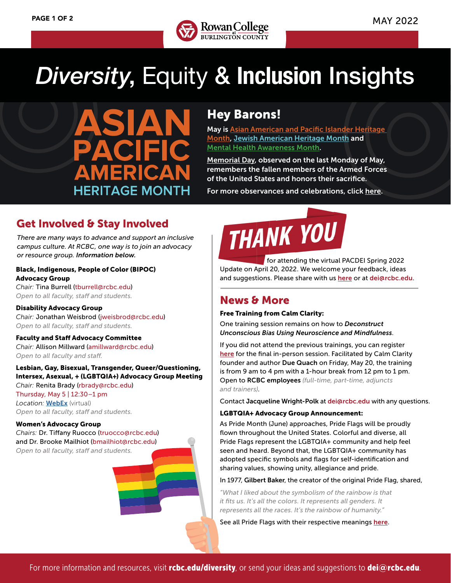

## *Diversity*, Equity & **Inclusion** Insights

**HERITAGE MONTH** 

## Hey Barons!

May is [Asian American and Pacific Islander Heritage](https://asianpacificheritage.gov)  [Month](https://asianpacificheritage.gov), [Jewish American Heritage Month](https://www.jewishheritagemonth.gov) and [Mental Health Awareness Month.](https://www.nami.org/Get-Involved/Awareness-Events/Mental-Health-Awareness-Month)

[Memorial Day,](https://www.military.com/memorial-day) observed on the last Monday of May, remembers the fallen members of the Armed Forces of the United States and honors their sacrifice.

For more observances and celebrations, click [here](https://www.rcbc.edu/sites/default/files/Documents/diversity/Cultural%20Observances%20and%20Causes%20Calendar_web%20Compliant.pdf).

## Get Involved & Stay Involved

*There are many ways to advance and support an inclusive campus culture. At RCBC, one way is to join an advocacy or resource group. Information below.*

## Black, Indigenous, People of Color (BIPOC) Advocacy Group

*Chair:* Tina Burrell (tburrell@rcbc.edu) *Open to all faculty, staff and students.*

Disability Advocacy Group *Chair:* Jonathan Weisbrod (jweisbrod@rcbc.edu) *Open to all faculty, staff and students.*

Faculty and Staff Advocacy Committee *Chair:* Allison Millward (amillward@rcbc.edu) *Open to all faculty and staff.*

Lesbian, Gay, Bisexual, Transgender, Queer/Questioning, Intersex, Asexual, + (LGBTQIA+) Advocacy Group Meeting *Chair:* Renita Brady (rbrady@rcbc.edu) Thursday, May 5 | 12:30–1 pm

*Location:* [WebEx](https://rcbc2.webex.com/rcbc2/j.php?MTID=mabfa825c7f4fb35ef2e6ea9e24b28daf) (virtual) *Open to all faculty, staff and students.*

#### Women's Advocacy Group

*Chairs:* Dr. Tiffany Ruocco (truocco@rcbc.edu) and Dr. Brooke Mailhiot (bmailhiot@rcbc.edu) *Open to all faculty, staff and students.*



 for attending the virtual PACDEI Spring 2022 Update on April 20, 2022. We welcome your feedback, ideas and suggestions. Please share with us [here](https://docs.google.com/forms/d/1m9VkxIqvLxVpVkE8jaxF_N3QB4fnrmcEjFaroOPTKI0/viewform?ts=5fd141ff&gxids=7628&edit_requested=) or at dei@rcbc.edu.

## News & More

## Free Training from Calm Clarity:

One training session remains on how to *Deconstruct Unconscious Bias Using Neuroscience and Mindfulness*.

If you did not attend the previous trainings, you can register [here](https://my.rcbc.edu/deconstruct-unconscious-bias) for the final in-person session. Facilitated by Calm Clarity founder and author Due Quach on Friday, May 20, the training is from 9 am to 4 pm with a 1-hour break from 12 pm to 1 pm. Open to RCBC employees *(full-time, part-time, adjuncts and trainers)*.

Contact Jacqueline Wright-Polk at dei@rcbc.edu with any questions.

## LGBTQIA+ Advocacy Group Announcement:

As Pride Month (June) approaches, Pride Flags will be proudly flown throughout the United States. Colorful and diverse, all Pride Flags represent the LGBTQIA+ community and help feel seen and heard. Beyond that, the LGBTQIA+ community has adopted specific symbols and flags for self-identification and sharing values, showing unity, allegiance and pride.

In 1977, Gilbert Baker, the creator of the original Pride Flag, shared,

*"What I liked about the symbolism of the rainbow is that it fits us. It's all the colors. It represents all genders. It represents all the races. It's the rainbow of humanity."*

See all Pride Flags with their respective meanings [here](https://parade.com/1162418/stephanieosmanski/lgbtq-pride-flags/).